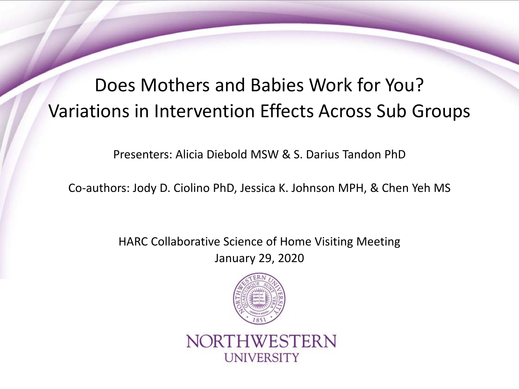# Does Mothers and Babies Work for You? Variations in Intervention Effects Across Sub Groups

Presenters: Alicia Diebold MSW & S. Darius Tandon PhD

Co-authors: Jody D. Ciolino PhD, Jessica K. Johnson MPH, & Chen Yeh MS

HARC Collaborative Science of Home Visiting Meeting January 29, 2020



NORTHWESTERN **UNIVERSITY**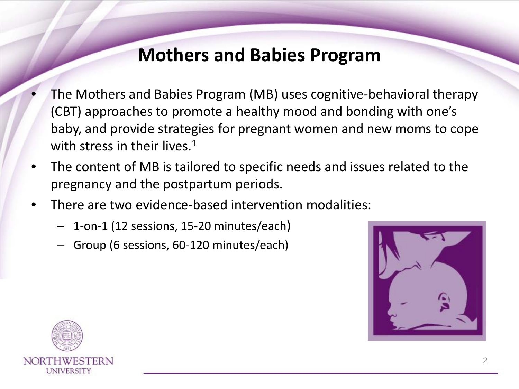### **Mothers and Babies Program**

- The Mothers and Babies Program (MB) uses cognitive-behavioral therapy (CBT) approaches to promote a healthy mood and bonding with one's baby, and provide strategies for pregnant women and new moms to cope with stress in their lives.<sup>1</sup>
- The content of MB is tailored to specific needs and issues related to the pregnancy and the postpartum periods.
- There are two evidence-based intervention modalities:
	- 1-on-1 (12 sessions, 15-20 minutes/each)
	- Group (6 sessions, 60-120 minutes/each)



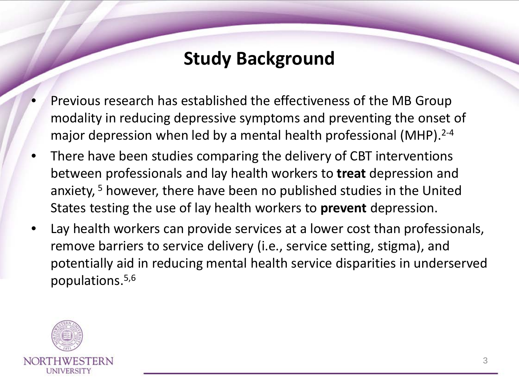## **Study Background**

- Previous research has established the effectiveness of the MB Group modality in reducing depressive symptoms and preventing the onset of major depression when led by a mental health professional (MHP).<sup>2-4</sup>
- There have been studies comparing the delivery of CBT interventions between professionals and lay health workers to **treat** depression and anxiety, <sup>5</sup> however, there have been no published studies in the United States testing the use of lay health workers to **prevent** depression.
- Lay health workers can provide services at a lower cost than professionals, remove barriers to service delivery (i.e., service setting, stigma), and potentially aid in reducing mental health service disparities in underserved populations.5,6

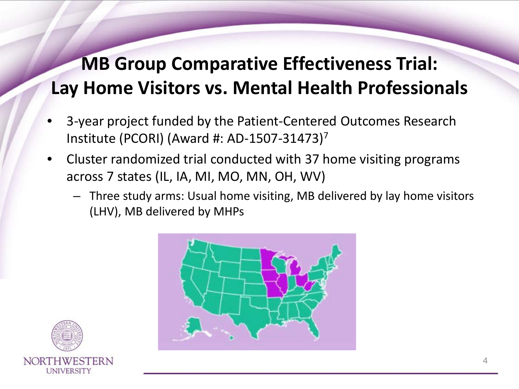# **MB Group Comparative Effectiveness Trial: Lay Home Visitors vs. Mental Health Professionals**

- 3-year project funded by the Patient-Centered Outcomes Research Institute (PCORI) (Award #: AD-1507-31473)7
- Cluster randomized trial conducted with 37 home visiting programs across 7 states (IL, IA, MI, MO, MN, OH, WV)
	- Three study arms: Usual home visiting, MB delivered by lay home visitors (LHV), MB delivered by MHPs



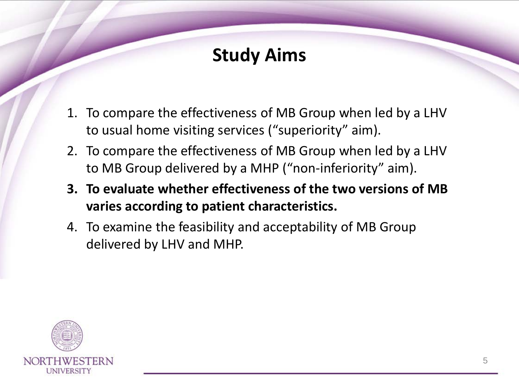## **Study Aims**

- 1. To compare the effectiveness of MB Group when led by a LHV to usual home visiting services ("superiority" aim).
- 2. To compare the effectiveness of MB Group when led by a LHV to MB Group delivered by a MHP ("non-inferiority" aim).
- **3. To evaluate whether effectiveness of the two versions of MB varies according to patient characteristics.**
- 4. To examine the feasibility and acceptability of MB Group delivered by LHV and MHP.

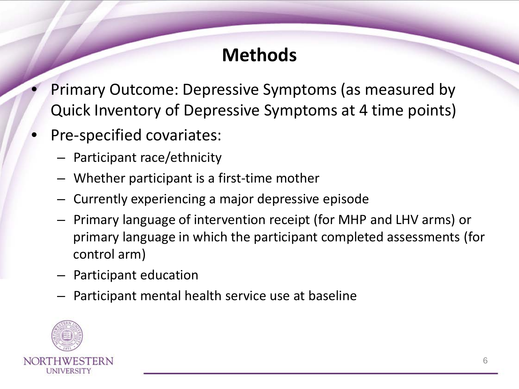## **Methods**

- Primary Outcome: Depressive Symptoms (as measured by Quick Inventory of Depressive Symptoms at 4 time points)
- Pre-specified covariates:
	- Participant race/ethnicity
	- Whether participant is a first-time mother
	- Currently experiencing a major depressive episode
	- Primary language of intervention receipt (for MHP and LHV arms) or primary language in which the participant completed assessments (for control arm)
	- Participant education
	- Participant mental health service use at baseline

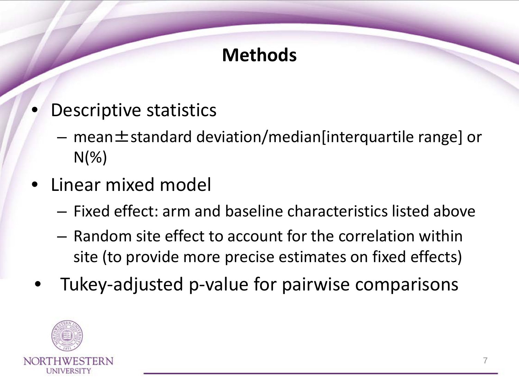# **Methods**

- Descriptive statistics
	- $-$  mean  $\pm$  standard deviation/median[interquartile range] or  $N(\%)$
- Linear mixed model
	- Fixed effect: arm and baseline characteristics listed above
	- Random site effect to account for the correlation within site (to provide more precise estimates on fixed effects)
- Tukey-adjusted p-value for pairwise comparisons

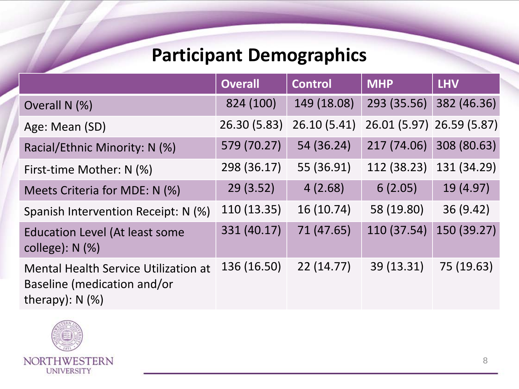## **Participant Demographics**

|                                                                                                 | <b>Overall</b> | <b>Control</b> | <b>MHP</b>                | <b>LHV</b>  |
|-------------------------------------------------------------------------------------------------|----------------|----------------|---------------------------|-------------|
| Overall N (%)                                                                                   | 824 (100)      | 149 (18.08)    | 293 (35.56)               | 382 (46.36) |
| Age: Mean (SD)                                                                                  | 26.30 (5.83)   | 26.10(5.41)    | 26.01 (5.97) 26.59 (5.87) |             |
| Racial/Ethnic Minority: N (%)                                                                   | 579 (70.27)    | 54 (36.24)     | 217 (74.06)               | 308 (80.63) |
| First-time Mother: N (%)                                                                        | 298 (36.17)    | 55 (36.91)     | 112 (38.23)               | 131 (34.29) |
| Meets Criteria for MDE: N (%)                                                                   | 29(3.52)       | 4(2.68)        | 6(2.05)                   | 19 (4.97)   |
| Spanish Intervention Receipt: N (%)                                                             | 110 (13.35)    | 16(10.74)      | 58 (19.80)                | 36(9.42)    |
| <b>Education Level (At least some</b><br>college): $N$ (%)                                      | 331 (40.17)    | 71 (47.65)     | 110 (37.54)               | 150 (39.27) |
| <b>Mental Health Service Utilization at</b><br>Baseline (medication and/or<br>therapy): $N$ (%) | 136 (16.50)    | 22(14.77)      | 39 (13.31)                | 75 (19.63)  |

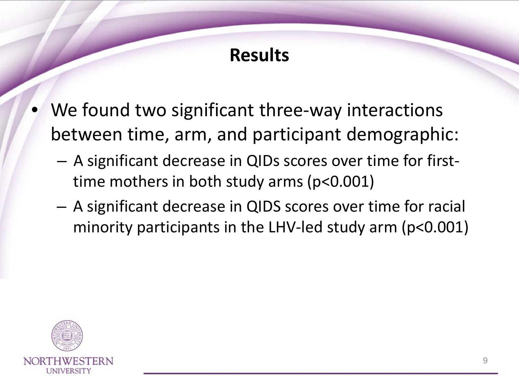# **Results**

- We found two significant three-way interactions between time, arm, and participant demographic:
	- A significant decrease in QIDs scores over time for firsttime mothers in both study arms (p<0.001)
	- A significant decrease in QIDS scores over time for racial minority participants in the LHV-led study arm (p<0.001)

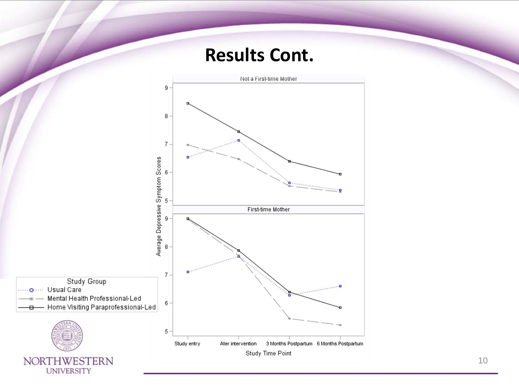#### **Results Cont.**

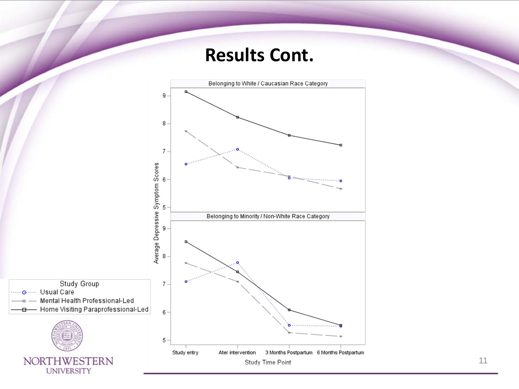#### **Results Cont.**

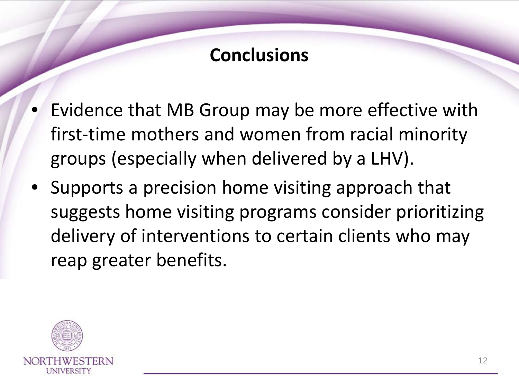## **Conclusions**

- Evidence that MB Group may be more effective with first-time mothers and women from racial minority groups (especially when delivered by a LHV).
- Supports a precision home visiting approach that suggests home visiting programs consider prioritizing delivery of interventions to certain clients who may reap greater benefits.

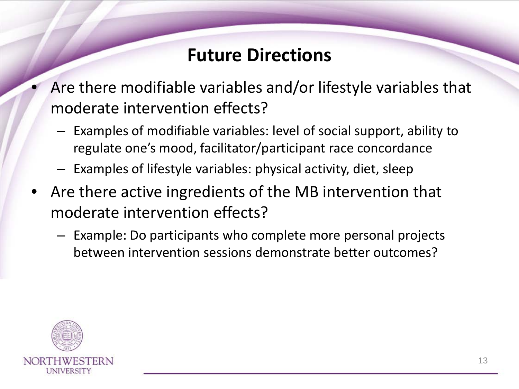## **Future Directions**

- Are there modifiable variables and/or lifestyle variables that moderate intervention effects?
	- Examples of modifiable variables: level of social support, ability to regulate one's mood, facilitator/participant race concordance
	- Examples of lifestyle variables: physical activity, diet, sleep
- Are there active ingredients of the MB intervention that moderate intervention effects?
	- Example: Do participants who complete more personal projects between intervention sessions demonstrate better outcomes?

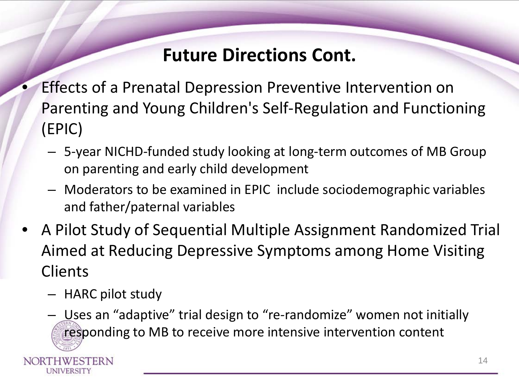## **Future Directions Cont.**

- Effects of a Prenatal Depression Preventive Intervention on Parenting and Young Children's Self-Regulation and Functioning (EPIC)
	- 5-year NICHD-funded study looking at long-term outcomes of MB Group on parenting and early child development
	- Moderators to be examined in EPIC include sociodemographic variables and father/paternal variables
- A Pilot Study of Sequential Multiple Assignment Randomized Trial Aimed at Reducing Depressive Symptoms among Home Visiting **Clients** 
	- HARC pilot study

UNIVERSITY

– Uses an "adaptive" trial design to "re-randomize" women not initially responding to MB to receive more intensive intervention content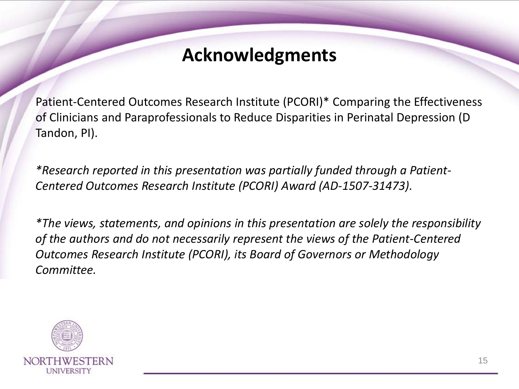### **Acknowledgments**

Patient-Centered Outcomes Research Institute (PCORI)\* Comparing the Effectiveness of Clinicians and Paraprofessionals to Reduce Disparities in Perinatal Depression (D Tandon, PI).

*\*Research reported in this presentation was partially funded through a Patient-Centered Outcomes Research Institute (PCORI) Award (AD-1507-31473).* 

*\*The views, statements, and opinions in this presentation are solely the responsibility of the authors and do not necessarily represent the views of the Patient-Centered Outcomes Research Institute (PCORI), its Board of Governors or Methodology Committee.*

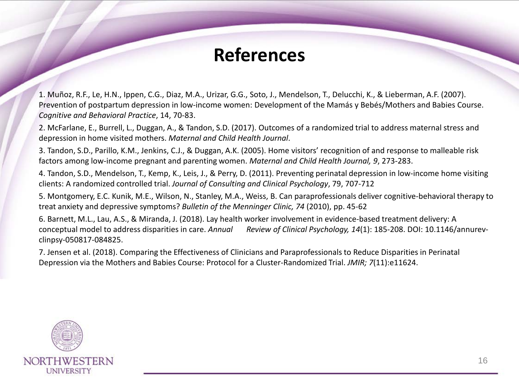### **References**

1. Muñoz, R.F., Le, H.N., Ippen, C.G., Diaz, M.A., Urizar, G.G., Soto, J., Mendelson, T., Delucchi, K., & Lieberman, A.F. (2007). Prevention of postpartum depression in low-income women: Development of the Mamás y Bebés/Mothers and Babies Course. *Cognitive and Behavioral Practice*, 14, 70-83.

2. McFarlane, E., Burrell, L., Duggan, A., & Tandon, S.D. (2017). Outcomes of a randomized trial to address maternal stress and depression in home visited mothers. *Maternal and Child Health Journal*.

3. Tandon, S.D., Parillo, K.M., Jenkins, C.J., & Duggan, A.K. (2005). Home visitors' recognition of and response to malleable risk factors among low-income pregnant and parenting women. *Maternal and Child Health Journal, 9*, 273-283.

4. Tandon, S.D., Mendelson, T., Kemp, K., Leis, J., & Perry, D. (2011). Preventing perinatal depression in low-income home visiting clients: A randomized controlled trial. *Journal of Consulting and Clinical Psychology*, 79, 707-712

5. Montgomery, E.C. Kunik, M.E., Wilson, N., Stanley, M.A., Weiss, B. Can paraprofessionals deliver cognitive-behavioral therapy to treat anxiety and depressive symptoms? *Bulletin of the Menninger Clinic, 74* (2010), pp. 45-62

6. Barnett, M.L., Lau, A.S., & Miranda, J. (2018). Lay health worker involvement in evidence-based treatment delivery: A conceptual model to address disparities in care. *Annual Review of Clinical Psychology, 14*(1): 185-208. DOI: 10.1146/annurevclinpsy-050817-084825.

7. Jensen et al. (2018). Comparing the Effectiveness of Clinicians and Paraprofessionals to Reduce Disparities in Perinatal Depression via the Mothers and Babies Course: Protocol for a Cluster-Randomized Trial. *JMIR; 7*(11):e11624.